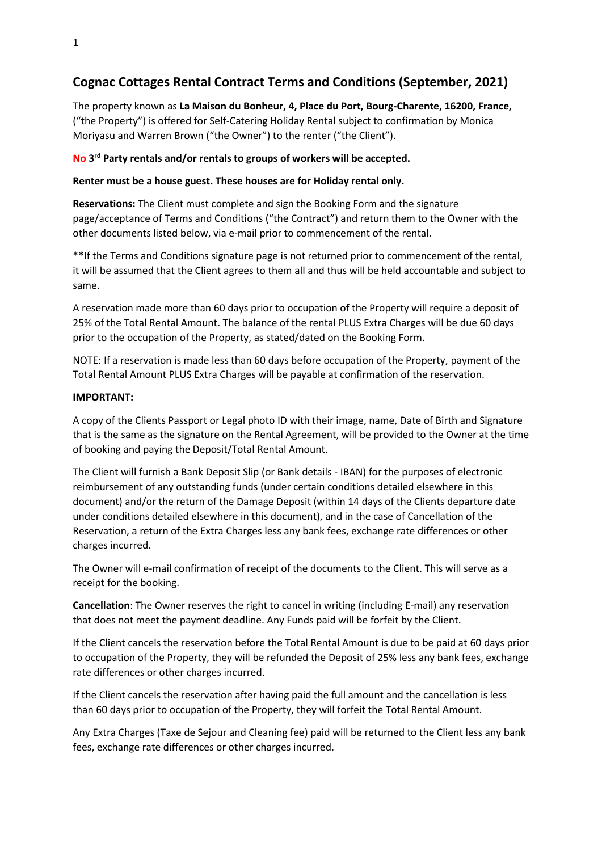# **Cognac Cottages Rental Contract Terms and Conditions (September, 2021)**

The property known as **La Maison du Bonheur, 4, Place du Port, Bourg-Charente, 16200, France,** ("the Property") is offered for Self-Catering Holiday Rental subject to confirmation by Monica Moriyasu and Warren Brown ("the Owner") to the renter ("the Client").

## **No 3 rd Party rentals and/or rentals to groups of workers will be accepted.**

### **Renter must be a house guest. These houses are for Holiday rental only.**

**Reservations:** The Client must complete and sign the Booking Form and the signature page/acceptance of Terms and Conditions ("the Contract") and return them to the Owner with the other documents listed below, via e-mail prior to commencement of the rental.

\*\*If the Terms and Conditions signature page is not returned prior to commencement of the rental, it will be assumed that the Client agrees to them all and thus will be held accountable and subject to same.

A reservation made more than 60 days prior to occupation of the Property will require a deposit of 25% of the Total Rental Amount. The balance of the rental PLUS Extra Charges will be due 60 days prior to the occupation of the Property, as stated/dated on the Booking Form.

NOTE: If a reservation is made less than 60 days before occupation of the Property, payment of the Total Rental Amount PLUS Extra Charges will be payable at confirmation of the reservation.

#### **IMPORTANT:**

A copy of the Clients Passport or Legal photo ID with their image, name, Date of Birth and Signature that is the same as the signature on the Rental Agreement, will be provided to the Owner at the time of booking and paying the Deposit/Total Rental Amount.

The Client will furnish a Bank Deposit Slip (or Bank details - IBAN) for the purposes of electronic reimbursement of any outstanding funds (under certain conditions detailed elsewhere in this document) and/or the return of the Damage Deposit (within 14 days of the Clients departure date under conditions detailed elsewhere in this document), and in the case of Cancellation of the Reservation, a return of the Extra Charges less any bank fees, exchange rate differences or other charges incurred.

The Owner will e-mail confirmation of receipt of the documents to the Client. This will serve as a receipt for the booking.

**Cancellation**: The Owner reserves the right to cancel in writing (including E-mail) any reservation that does not meet the payment deadline. Any Funds paid will be forfeit by the Client.

If the Client cancels the reservation before the Total Rental Amount is due to be paid at 60 days prior to occupation of the Property, they will be refunded the Deposit of 25% less any bank fees, exchange rate differences or other charges incurred.

If the Client cancels the reservation after having paid the full amount and the cancellation is less than 60 days prior to occupation of the Property, they will forfeit the Total Rental Amount.

Any Extra Charges (Taxe de Sejour and Cleaning fee) paid will be returned to the Client less any bank fees, exchange rate differences or other charges incurred.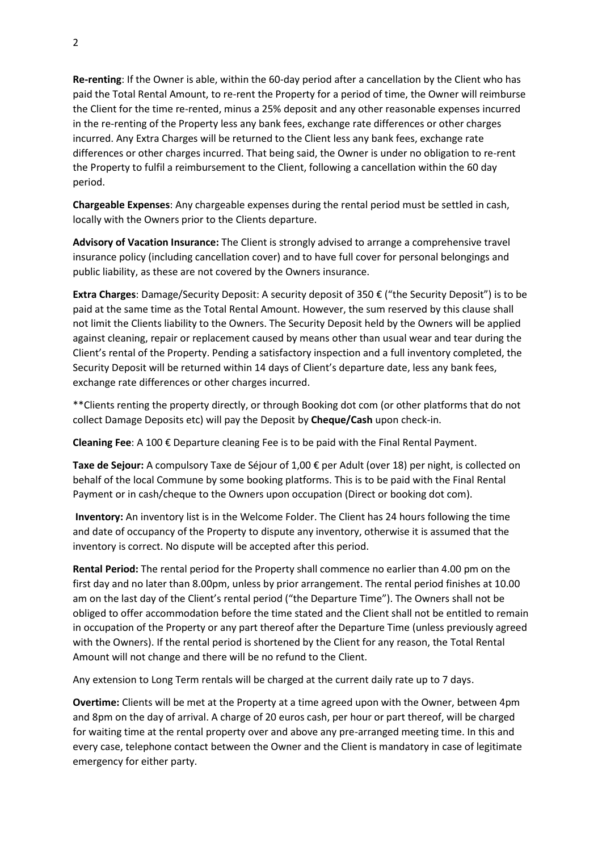**Re-renting**: If the Owner is able, within the 60-day period after a cancellation by the Client who has paid the Total Rental Amount, to re-rent the Property for a period of time, the Owner will reimburse the Client for the time re-rented, minus a 25% deposit and any other reasonable expenses incurred in the re-renting of the Property less any bank fees, exchange rate differences or other charges incurred. Any Extra Charges will be returned to the Client less any bank fees, exchange rate differences or other charges incurred. That being said, the Owner is under no obligation to re-rent the Property to fulfil a reimbursement to the Client, following a cancellation within the 60 day period.

**Chargeable Expenses**: Any chargeable expenses during the rental period must be settled in cash, locally with the Owners prior to the Clients departure.

**Advisory of Vacation Insurance:** The Client is strongly advised to arrange a comprehensive travel insurance policy (including cancellation cover) and to have full cover for personal belongings and public liability, as these are not covered by the Owners insurance.

**Extra Charges**: Damage/Security Deposit: A security deposit of 350 € ("the Security Deposit") is to be paid at the same time as the Total Rental Amount. However, the sum reserved by this clause shall not limit the Clients liability to the Owners. The Security Deposit held by the Owners will be applied against cleaning, repair or replacement caused by means other than usual wear and tear during the Client's rental of the Property. Pending a satisfactory inspection and a full inventory completed, the Security Deposit will be returned within 14 days of Client's departure date, less any bank fees, exchange rate differences or other charges incurred.

\*\*Clients renting the property directly, or through Booking dot com (or other platforms that do not collect Damage Deposits etc) will pay the Deposit by **Cheque/Cash** upon check-in.

**Cleaning Fee**: A 100 € Departure cleaning Fee is to be paid with the Final Rental Payment.

**Taxe de Sejour:** A compulsory Taxe de Séjour of 1,00 € per Adult (over 18) per night, is collected on behalf of the local Commune by some booking platforms. This is to be paid with the Final Rental Payment or in cash/cheque to the Owners upon occupation (Direct or booking dot com).

**Inventory:** An inventory list is in the Welcome Folder. The Client has 24 hours following the time and date of occupancy of the Property to dispute any inventory, otherwise it is assumed that the inventory is correct. No dispute will be accepted after this period.

**Rental Period:** The rental period for the Property shall commence no earlier than 4.00 pm on the first day and no later than 8.00pm, unless by prior arrangement. The rental period finishes at 10.00 am on the last day of the Client's rental period ("the Departure Time"). The Owners shall not be obliged to offer accommodation before the time stated and the Client shall not be entitled to remain in occupation of the Property or any part thereof after the Departure Time (unless previously agreed with the Owners). If the rental period is shortened by the Client for any reason, the Total Rental Amount will not change and there will be no refund to the Client.

Any extension to Long Term rentals will be charged at the current daily rate up to 7 days.

**Overtime:** Clients will be met at the Property at a time agreed upon with the Owner, between 4pm and 8pm on the day of arrival. A charge of 20 euros cash, per hour or part thereof, will be charged for waiting time at the rental property over and above any pre-arranged meeting time. In this and every case, telephone contact between the Owner and the Client is mandatory in case of legitimate emergency for either party.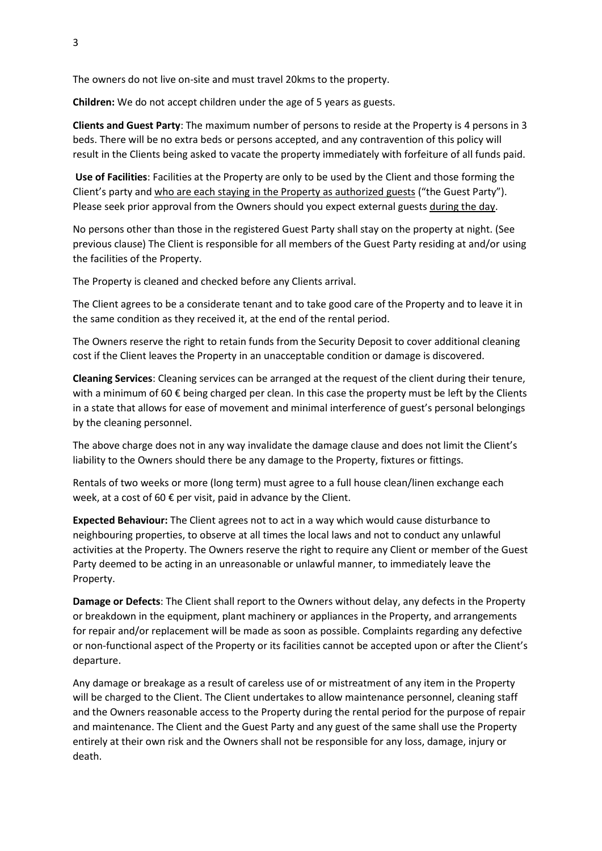The owners do not live on-site and must travel 20kms to the property.

**Children:** We do not accept children under the age of 5 years as guests.

**Clients and Guest Party**: The maximum number of persons to reside at the Property is 4 persons in 3 beds. There will be no extra beds or persons accepted, and any contravention of this policy will result in the Clients being asked to vacate the property immediately with forfeiture of all funds paid.

**Use of Facilities**: Facilities at the Property are only to be used by the Client and those forming the Client's party and who are each staying in the Property as authorized guests ("the Guest Party"). Please seek prior approval from the Owners should you expect external guests during the day.

No persons other than those in the registered Guest Party shall stay on the property at night. (See previous clause) The Client is responsible for all members of the Guest Party residing at and/or using the facilities of the Property.

The Property is cleaned and checked before any Clients arrival.

The Client agrees to be a considerate tenant and to take good care of the Property and to leave it in the same condition as they received it, at the end of the rental period.

The Owners reserve the right to retain funds from the Security Deposit to cover additional cleaning cost if the Client leaves the Property in an unacceptable condition or damage is discovered.

**Cleaning Services**: Cleaning services can be arranged at the request of the client during their tenure, with a minimum of 60  $\epsilon$  being charged per clean. In this case the property must be left by the Clients in a state that allows for ease of movement and minimal interference of guest's personal belongings by the cleaning personnel.

The above charge does not in any way invalidate the damage clause and does not limit the Client's liability to the Owners should there be any damage to the Property, fixtures or fittings.

Rentals of two weeks or more (long term) must agree to a full house clean/linen exchange each week, at a cost of 60 € per visit, paid in advance by the Client.

**Expected Behaviour:** The Client agrees not to act in a way which would cause disturbance to neighbouring properties, to observe at all times the local laws and not to conduct any unlawful activities at the Property. The Owners reserve the right to require any Client or member of the Guest Party deemed to be acting in an unreasonable or unlawful manner, to immediately leave the Property.

**Damage or Defects**: The Client shall report to the Owners without delay, any defects in the Property or breakdown in the equipment, plant machinery or appliances in the Property, and arrangements for repair and/or replacement will be made as soon as possible. Complaints regarding any defective or non-functional aspect of the Property or its facilities cannot be accepted upon or after the Client's departure.

Any damage or breakage as a result of careless use of or mistreatment of any item in the Property will be charged to the Client. The Client undertakes to allow maintenance personnel, cleaning staff and the Owners reasonable access to the Property during the rental period for the purpose of repair and maintenance. The Client and the Guest Party and any guest of the same shall use the Property entirely at their own risk and the Owners shall not be responsible for any loss, damage, injury or death.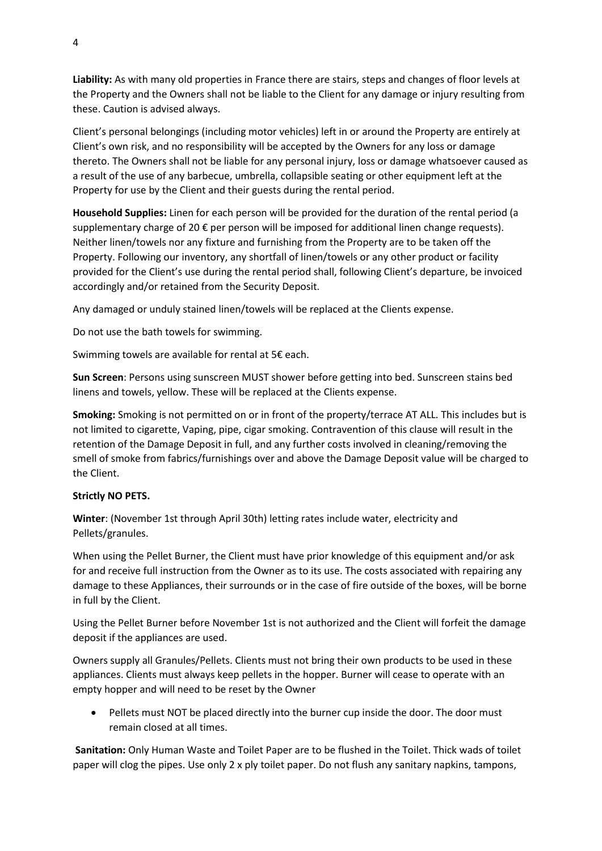**Liability:** As with many old properties in France there are stairs, steps and changes of floor levels at the Property and the Owners shall not be liable to the Client for any damage or injury resulting from these. Caution is advised always.

Client's personal belongings (including motor vehicles) left in or around the Property are entirely at Client's own risk, and no responsibility will be accepted by the Owners for any loss or damage thereto. The Owners shall not be liable for any personal injury, loss or damage whatsoever caused as a result of the use of any barbecue, umbrella, collapsible seating or other equipment left at the Property for use by the Client and their guests during the rental period.

**Household Supplies:** Linen for each person will be provided for the duration of the rental period (a supplementary charge of 20  $\epsilon$  per person will be imposed for additional linen change requests). Neither linen/towels nor any fixture and furnishing from the Property are to be taken off the Property. Following our inventory, any shortfall of linen/towels or any other product or facility provided for the Client's use during the rental period shall, following Client's departure, be invoiced accordingly and/or retained from the Security Deposit.

Any damaged or unduly stained linen/towels will be replaced at the Clients expense.

Do not use the bath towels for swimming.

Swimming towels are available for rental at 5€ each.

**Sun Screen**: Persons using sunscreen MUST shower before getting into bed. Sunscreen stains bed linens and towels, yellow. These will be replaced at the Clients expense.

**Smoking:** Smoking is not permitted on or in front of the property/terrace AT ALL. This includes but is not limited to cigarette, Vaping, pipe, cigar smoking. Contravention of this clause will result in the retention of the Damage Deposit in full, and any further costs involved in cleaning/removing the smell of smoke from fabrics/furnishings over and above the Damage Deposit value will be charged to the Client.

#### **Strictly NO PETS.**

**Winter**: (November 1st through April 30th) letting rates include water, electricity and Pellets/granules.

When using the Pellet Burner, the Client must have prior knowledge of this equipment and/or ask for and receive full instruction from the Owner as to its use. The costs associated with repairing any damage to these Appliances, their surrounds or in the case of fire outside of the boxes, will be borne in full by the Client.

Using the Pellet Burner before November 1st is not authorized and the Client will forfeit the damage deposit if the appliances are used.

Owners supply all Granules/Pellets. Clients must not bring their own products to be used in these appliances. Clients must always keep pellets in the hopper. Burner will cease to operate with an empty hopper and will need to be reset by the Owner

• Pellets must NOT be placed directly into the burner cup inside the door. The door must remain closed at all times.

**Sanitation:** Only Human Waste and Toilet Paper are to be flushed in the Toilet. Thick wads of toilet paper will clog the pipes. Use only 2 x ply toilet paper. Do not flush any sanitary napkins, tampons,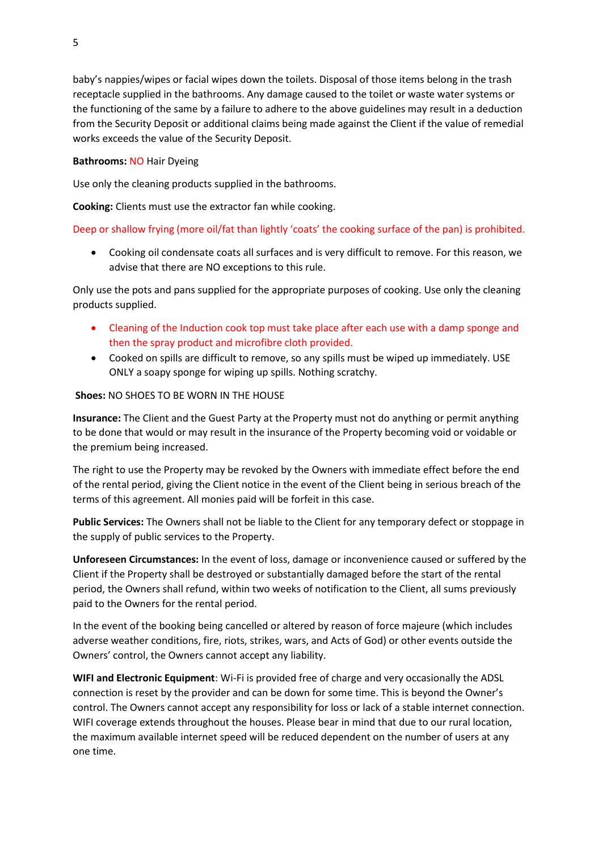baby's nappies/wipes or facial wipes down the toilets. Disposal of those items belong in the trash receptacle supplied in the bathrooms. Any damage caused to the toilet or waste water systems or the functioning of the same by a failure to adhere to the above guidelines may result in a deduction from the Security Deposit or additional claims being made against the Client if the value of remedial works exceeds the value of the Security Deposit.

#### **Bathrooms:** NO Hair Dyeing

Use only the cleaning products supplied in the bathrooms.

**Cooking:** Clients must use the extractor fan while cooking.

#### Deep or shallow frying (more oil/fat than lightly 'coats' the cooking surface of the pan) is prohibited.

• Cooking oil condensate coats all surfaces and is very difficult to remove. For this reason, we advise that there are NO exceptions to this rule.

Only use the pots and pans supplied for the appropriate purposes of cooking. Use only the cleaning products supplied.

- Cleaning of the Induction cook top must take place after each use with a damp sponge and then the spray product and microfibre cloth provided.
- Cooked on spills are difficult to remove, so any spills must be wiped up immediately. USE ONLY a soapy sponge for wiping up spills. Nothing scratchy.

## **Shoes: NO SHOES TO BE WORN IN THE HOUSE**

**Insurance:** The Client and the Guest Party at the Property must not do anything or permit anything to be done that would or may result in the insurance of the Property becoming void or voidable or the premium being increased.

The right to use the Property may be revoked by the Owners with immediate effect before the end of the rental period, giving the Client notice in the event of the Client being in serious breach of the terms of this agreement. All monies paid will be forfeit in this case.

**Public Services:** The Owners shall not be liable to the Client for any temporary defect or stoppage in the supply of public services to the Property.

**Unforeseen Circumstances:** In the event of loss, damage or inconvenience caused or suffered by the Client if the Property shall be destroyed or substantially damaged before the start of the rental period, the Owners shall refund, within two weeks of notification to the Client, all sums previously paid to the Owners for the rental period.

In the event of the booking being cancelled or altered by reason of force majeure (which includes adverse weather conditions, fire, riots, strikes, wars, and Acts of God) or other events outside the Owners' control, the Owners cannot accept any liability.

**WIFI and Electronic Equipment**: Wi-Fi is provided free of charge and very occasionally the ADSL connection is reset by the provider and can be down for some time. This is beyond the Owner's control. The Owners cannot accept any responsibility for loss or lack of a stable internet connection. WIFI coverage extends throughout the houses. Please bear in mind that due to our rural location, the maximum available internet speed will be reduced dependent on the number of users at any one time.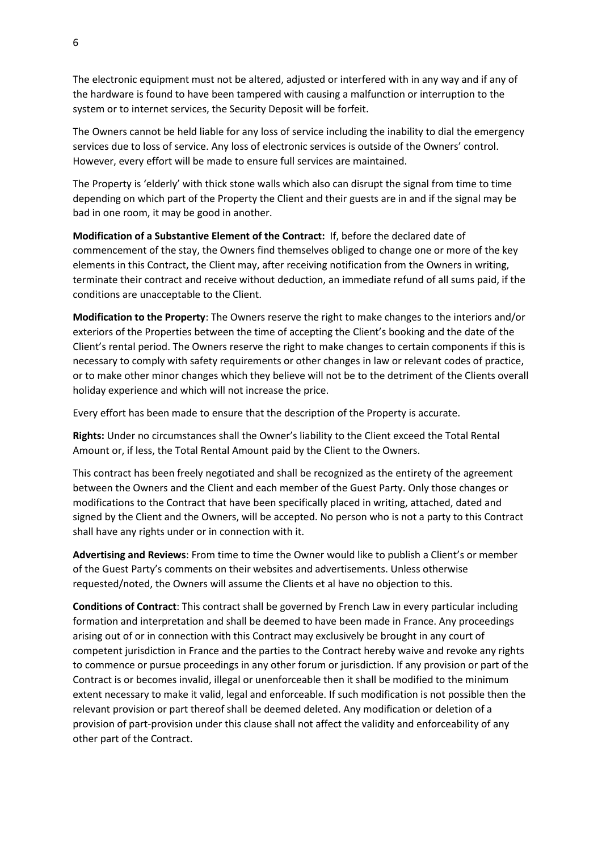The electronic equipment must not be altered, adjusted or interfered with in any way and if any of the hardware is found to have been tampered with causing a malfunction or interruption to the system or to internet services, the Security Deposit will be forfeit.

The Owners cannot be held liable for any loss of service including the inability to dial the emergency services due to loss of service. Any loss of electronic services is outside of the Owners' control. However, every effort will be made to ensure full services are maintained.

The Property is 'elderly' with thick stone walls which also can disrupt the signal from time to time depending on which part of the Property the Client and their guests are in and if the signal may be bad in one room, it may be good in another.

**Modification of a Substantive Element of the Contract:** If, before the declared date of commencement of the stay, the Owners find themselves obliged to change one or more of the key elements in this Contract, the Client may, after receiving notification from the Owners in writing, terminate their contract and receive without deduction, an immediate refund of all sums paid, if the conditions are unacceptable to the Client.

**Modification to the Property**: The Owners reserve the right to make changes to the interiors and/or exteriors of the Properties between the time of accepting the Client's booking and the date of the Client's rental period. The Owners reserve the right to make changes to certain components if this is necessary to comply with safety requirements or other changes in law or relevant codes of practice, or to make other minor changes which they believe will not be to the detriment of the Clients overall holiday experience and which will not increase the price.

Every effort has been made to ensure that the description of the Property is accurate.

**Rights:** Under no circumstances shall the Owner's liability to the Client exceed the Total Rental Amount or, if less, the Total Rental Amount paid by the Client to the Owners.

This contract has been freely negotiated and shall be recognized as the entirety of the agreement between the Owners and the Client and each member of the Guest Party. Only those changes or modifications to the Contract that have been specifically placed in writing, attached, dated and signed by the Client and the Owners, will be accepted. No person who is not a party to this Contract shall have any rights under or in connection with it.

**Advertising and Reviews**: From time to time the Owner would like to publish a Client's or member of the Guest Party's comments on their websites and advertisements. Unless otherwise requested/noted, the Owners will assume the Clients et al have no objection to this.

**Conditions of Contract**: This contract shall be governed by French Law in every particular including formation and interpretation and shall be deemed to have been made in France. Any proceedings arising out of or in connection with this Contract may exclusively be brought in any court of competent jurisdiction in France and the parties to the Contract hereby waive and revoke any rights to commence or pursue proceedings in any other forum or jurisdiction. If any provision or part of the Contract is or becomes invalid, illegal or unenforceable then it shall be modified to the minimum extent necessary to make it valid, legal and enforceable. If such modification is not possible then the relevant provision or part thereof shall be deemed deleted. Any modification or deletion of a provision of part-provision under this clause shall not affect the validity and enforceability of any other part of the Contract.